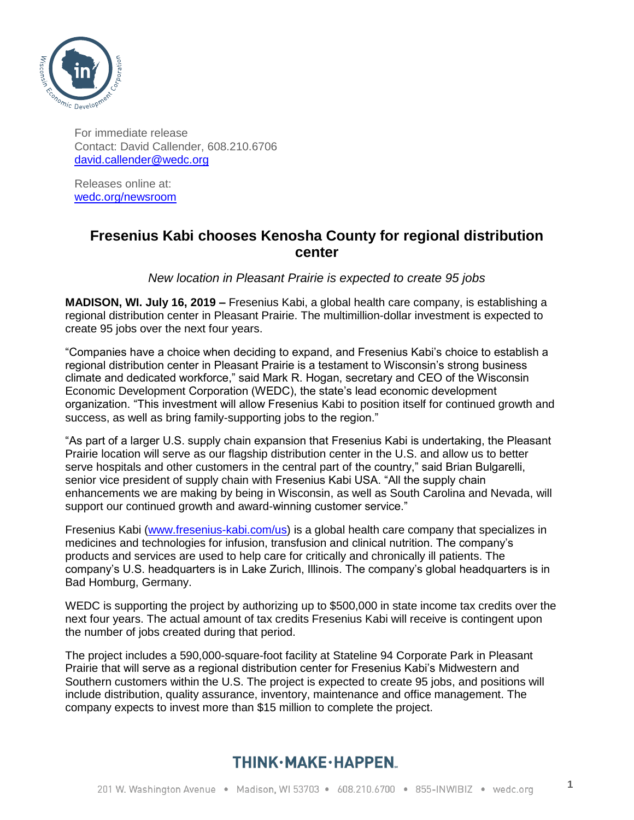

For immediate release Contact: David Callender, 608.210.6706 [david.callender@wedc.org](mailto:david.callender@wedc.org)

Releases online at: [wedc.org/newsroom](http://www.wedc.org/newsroom)

## **Fresenius Kabi chooses Kenosha County for regional distribution center**

*New location in Pleasant Prairie is expected to create 95 jobs* 

**MADISON, WI. July 16, 2019 –** Fresenius Kabi, a global health care company, is establishing a regional distribution center in Pleasant Prairie. The multimillion-dollar investment is expected to create 95 jobs over the next four years.

"Companies have a choice when deciding to expand, and Fresenius Kabi's choice to establish a regional distribution center in Pleasant Prairie is a testament to Wisconsin's strong business climate and dedicated workforce," said Mark R. Hogan, secretary and CEO of the Wisconsin Economic Development Corporation (WEDC), the state's lead economic development organization. "This investment will allow Fresenius Kabi to position itself for continued growth and success, as well as bring family-supporting jobs to the region."

"As part of a larger U.S. supply chain expansion that Fresenius Kabi is undertaking, the Pleasant Prairie location will serve as our flagship distribution center in the U.S. and allow us to better serve hospitals and other customers in the central part of the country," said Brian Bulgarelli, senior vice president of supply chain with Fresenius Kabi USA. "All the supply chain enhancements we are making by being in Wisconsin, as well as South Carolina and Nevada, will support our continued growth and award-winning customer service."

Fresenius Kabi [\(www.fresenius-kabi.com/us\)](file:///C:/Users/mkuhn/Desktop/www.fresenius-kabi.com/us) is a global health care company that specializes in medicines and technologies for infusion, transfusion and clinical nutrition. The company's products and services are used to help care for critically and chronically ill patients. The company's U.S. headquarters is in Lake Zurich, Illinois. The company's global headquarters is in Bad Homburg, Germany.

WEDC is supporting the project by authorizing up to \$500,000 in state income tax credits over the next four years. The actual amount of tax credits Fresenius Kabi will receive is contingent upon the number of jobs created during that period.

The project includes a 590,000-square-foot facility at Stateline 94 Corporate Park in Pleasant Prairie that will serve as a regional distribution center for Fresenius Kabi's Midwestern and Southern customers within the U.S. The project is expected to create 95 jobs, and positions will include distribution, quality assurance, inventory, maintenance and office management. The company expects to invest more than \$15 million to complete the project.

## THINK·MAKE·HAPPEN.